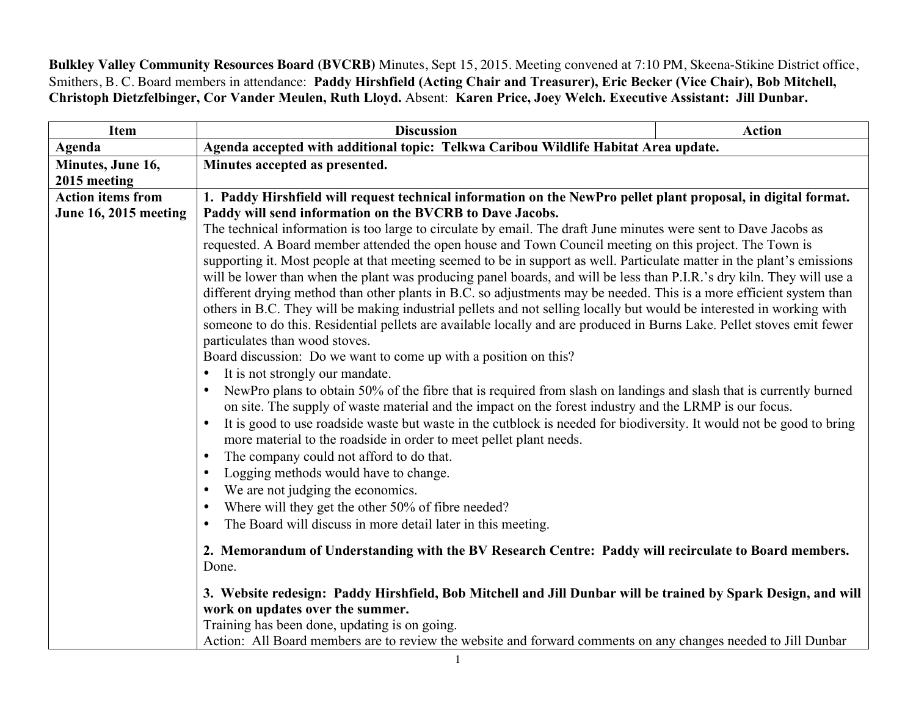**Bulkley Valley Community Resources Board (BVCRB)** Minutes, Sept 15, 2015. Meeting convened at 7:10 PM, Skeena-Stikine District office, Smithers, B. C. Board members in attendance: **Paddy Hirshfield (Acting Chair and Treasurer), Eric Becker (Vice Chair), Bob Mitchell, Christoph Dietzfelbinger, Cor Vander Meulen, Ruth Lloyd.** Absent: **Karen Price, Joey Welch. Executive Assistant: Jill Dunbar.**

| <b>Item</b>                  | <b>Discussion</b>                                                                                                                                                                                                                                                                                                                                                                                                                                                                                                                                                                                                                                                                                                                                                                                                                                                                                                                                                                                                                                                                                                                                                                                                                                                                                                                                                                                                                                                                                                                                                                                                                                                                                                                                                                                                                         | <b>Action</b> |  |
|------------------------------|-------------------------------------------------------------------------------------------------------------------------------------------------------------------------------------------------------------------------------------------------------------------------------------------------------------------------------------------------------------------------------------------------------------------------------------------------------------------------------------------------------------------------------------------------------------------------------------------------------------------------------------------------------------------------------------------------------------------------------------------------------------------------------------------------------------------------------------------------------------------------------------------------------------------------------------------------------------------------------------------------------------------------------------------------------------------------------------------------------------------------------------------------------------------------------------------------------------------------------------------------------------------------------------------------------------------------------------------------------------------------------------------------------------------------------------------------------------------------------------------------------------------------------------------------------------------------------------------------------------------------------------------------------------------------------------------------------------------------------------------------------------------------------------------------------------------------------------------|---------------|--|
| Agenda                       | Agenda accepted with additional topic: Telkwa Caribou Wildlife Habitat Area update.                                                                                                                                                                                                                                                                                                                                                                                                                                                                                                                                                                                                                                                                                                                                                                                                                                                                                                                                                                                                                                                                                                                                                                                                                                                                                                                                                                                                                                                                                                                                                                                                                                                                                                                                                       |               |  |
| Minutes, June 16,            | Minutes accepted as presented.                                                                                                                                                                                                                                                                                                                                                                                                                                                                                                                                                                                                                                                                                                                                                                                                                                                                                                                                                                                                                                                                                                                                                                                                                                                                                                                                                                                                                                                                                                                                                                                                                                                                                                                                                                                                            |               |  |
| 2015 meeting                 |                                                                                                                                                                                                                                                                                                                                                                                                                                                                                                                                                                                                                                                                                                                                                                                                                                                                                                                                                                                                                                                                                                                                                                                                                                                                                                                                                                                                                                                                                                                                                                                                                                                                                                                                                                                                                                           |               |  |
| <b>Action items from</b>     | 1. Paddy Hirshfield will request technical information on the NewPro pellet plant proposal, in digital format.                                                                                                                                                                                                                                                                                                                                                                                                                                                                                                                                                                                                                                                                                                                                                                                                                                                                                                                                                                                                                                                                                                                                                                                                                                                                                                                                                                                                                                                                                                                                                                                                                                                                                                                            |               |  |
| <b>June 16, 2015 meeting</b> | Paddy will send information on the BVCRB to Dave Jacobs.<br>The technical information is too large to circulate by email. The draft June minutes were sent to Dave Jacobs as<br>requested. A Board member attended the open house and Town Council meeting on this project. The Town is<br>supporting it. Most people at that meeting seemed to be in support as well. Particulate matter in the plant's emissions<br>will be lower than when the plant was producing panel boards, and will be less than P.I.R.'s dry kiln. They will use a<br>different drying method than other plants in B.C. so adjustments may be needed. This is a more efficient system than<br>others in B.C. They will be making industrial pellets and not selling locally but would be interested in working with<br>someone to do this. Residential pellets are available locally and are produced in Burns Lake. Pellet stoves emit fewer<br>particulates than wood stoves.<br>Board discussion: Do we want to come up with a position on this?<br>It is not strongly our mandate.<br>$\bullet$<br>NewPro plans to obtain 50% of the fibre that is required from slash on landings and slash that is currently burned<br>$\bullet$<br>on site. The supply of waste material and the impact on the forest industry and the LRMP is our focus.<br>It is good to use roadside waste but waste in the cutblock is needed for biodiversity. It would not be good to bring<br>more material to the roadside in order to meet pellet plant needs.<br>The company could not afford to do that.<br>$\bullet$<br>Logging methods would have to change.<br>$\bullet$<br>We are not judging the economics.<br>$\bullet$<br>Where will they get the other 50% of fibre needed?<br>$\bullet$<br>The Board will discuss in more detail later in this meeting.<br>$\bullet$ |               |  |
|                              | 2. Memorandum of Understanding with the BV Research Centre: Paddy will recirculate to Board members.<br>Done.                                                                                                                                                                                                                                                                                                                                                                                                                                                                                                                                                                                                                                                                                                                                                                                                                                                                                                                                                                                                                                                                                                                                                                                                                                                                                                                                                                                                                                                                                                                                                                                                                                                                                                                             |               |  |
|                              | 3. Website redesign: Paddy Hirshfield, Bob Mitchell and Jill Dunbar will be trained by Spark Design, and will<br>work on updates over the summer.<br>Training has been done, updating is on going.<br>Action: All Board members are to review the website and forward comments on any changes needed to Jill Dunbar                                                                                                                                                                                                                                                                                                                                                                                                                                                                                                                                                                                                                                                                                                                                                                                                                                                                                                                                                                                                                                                                                                                                                                                                                                                                                                                                                                                                                                                                                                                       |               |  |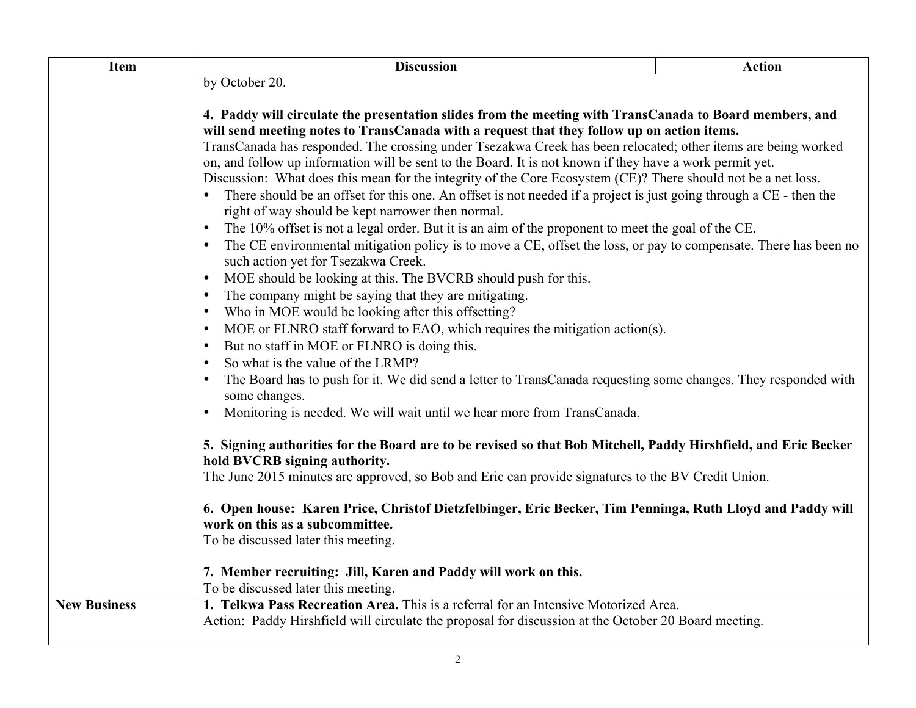| <b>Item</b>         | <b>Discussion</b>                                                                                                                                                                                                                                                                                                                                                                                                                                                                                                                                                                                                                                                                                                                                                                                  | <b>Action</b> |  |
|---------------------|----------------------------------------------------------------------------------------------------------------------------------------------------------------------------------------------------------------------------------------------------------------------------------------------------------------------------------------------------------------------------------------------------------------------------------------------------------------------------------------------------------------------------------------------------------------------------------------------------------------------------------------------------------------------------------------------------------------------------------------------------------------------------------------------------|---------------|--|
|                     | by October 20.                                                                                                                                                                                                                                                                                                                                                                                                                                                                                                                                                                                                                                                                                                                                                                                     |               |  |
|                     |                                                                                                                                                                                                                                                                                                                                                                                                                                                                                                                                                                                                                                                                                                                                                                                                    |               |  |
|                     | 4. Paddy will circulate the presentation slides from the meeting with TransCanada to Board members, and                                                                                                                                                                                                                                                                                                                                                                                                                                                                                                                                                                                                                                                                                            |               |  |
|                     | will send meeting notes to TransCanada with a request that they follow up on action items.                                                                                                                                                                                                                                                                                                                                                                                                                                                                                                                                                                                                                                                                                                         |               |  |
|                     | TransCanada has responded. The crossing under Tsezakwa Creek has been relocated; other items are being worked<br>on, and follow up information will be sent to the Board. It is not known if they have a work permit yet.                                                                                                                                                                                                                                                                                                                                                                                                                                                                                                                                                                          |               |  |
|                     | Discussion: What does this mean for the integrity of the Core Ecosystem (CE)? There should not be a net loss.<br>There should be an offset for this one. An offset is not needed if a project is just going through a CE - then the                                                                                                                                                                                                                                                                                                                                                                                                                                                                                                                                                                |               |  |
|                     |                                                                                                                                                                                                                                                                                                                                                                                                                                                                                                                                                                                                                                                                                                                                                                                                    |               |  |
|                     | right of way should be kept narrower then normal.                                                                                                                                                                                                                                                                                                                                                                                                                                                                                                                                                                                                                                                                                                                                                  |               |  |
|                     | The 10% offset is not a legal order. But it is an aim of the proponent to meet the goal of the CE.<br>The CE environmental mitigation policy is to move a CE, offset the loss, or pay to compensate. There has been no<br>such action yet for Tsezakwa Creek.                                                                                                                                                                                                                                                                                                                                                                                                                                                                                                                                      |               |  |
|                     |                                                                                                                                                                                                                                                                                                                                                                                                                                                                                                                                                                                                                                                                                                                                                                                                    |               |  |
|                     |                                                                                                                                                                                                                                                                                                                                                                                                                                                                                                                                                                                                                                                                                                                                                                                                    |               |  |
|                     | MOE should be looking at this. The BVCRB should push for this.<br>$\bullet$                                                                                                                                                                                                                                                                                                                                                                                                                                                                                                                                                                                                                                                                                                                        |               |  |
|                     | The company might be saying that they are mitigating.<br>$\bullet$                                                                                                                                                                                                                                                                                                                                                                                                                                                                                                                                                                                                                                                                                                                                 |               |  |
|                     | Who in MOE would be looking after this offsetting?<br>$\bullet$                                                                                                                                                                                                                                                                                                                                                                                                                                                                                                                                                                                                                                                                                                                                    |               |  |
|                     | MOE or FLNRO staff forward to EAO, which requires the mitigation action(s).<br>$\bullet$                                                                                                                                                                                                                                                                                                                                                                                                                                                                                                                                                                                                                                                                                                           |               |  |
|                     | But no staff in MOE or FLNRO is doing this.<br>$\bullet$<br>So what is the value of the LRMP?<br>$\bullet$<br>The Board has to push for it. We did send a letter to TransCanada requesting some changes. They responded with<br>$\bullet$<br>some changes.<br>Monitoring is needed. We will wait until we hear more from TransCanada.<br>$\bullet$<br>5. Signing authorities for the Board are to be revised so that Bob Mitchell, Paddy Hirshfield, and Eric Becker<br>hold BVCRB signing authority.<br>The June 2015 minutes are approved, so Bob and Eric can provide signatures to the BV Credit Union.<br>6. Open house: Karen Price, Christof Dietzfelbinger, Eric Becker, Tim Penninga, Ruth Lloyd and Paddy will<br>work on this as a subcommittee.<br>To be discussed later this meeting. |               |  |
|                     |                                                                                                                                                                                                                                                                                                                                                                                                                                                                                                                                                                                                                                                                                                                                                                                                    |               |  |
|                     |                                                                                                                                                                                                                                                                                                                                                                                                                                                                                                                                                                                                                                                                                                                                                                                                    |               |  |
|                     |                                                                                                                                                                                                                                                                                                                                                                                                                                                                                                                                                                                                                                                                                                                                                                                                    |               |  |
|                     |                                                                                                                                                                                                                                                                                                                                                                                                                                                                                                                                                                                                                                                                                                                                                                                                    |               |  |
|                     |                                                                                                                                                                                                                                                                                                                                                                                                                                                                                                                                                                                                                                                                                                                                                                                                    |               |  |
|                     |                                                                                                                                                                                                                                                                                                                                                                                                                                                                                                                                                                                                                                                                                                                                                                                                    |               |  |
|                     |                                                                                                                                                                                                                                                                                                                                                                                                                                                                                                                                                                                                                                                                                                                                                                                                    |               |  |
|                     |                                                                                                                                                                                                                                                                                                                                                                                                                                                                                                                                                                                                                                                                                                                                                                                                    |               |  |
|                     |                                                                                                                                                                                                                                                                                                                                                                                                                                                                                                                                                                                                                                                                                                                                                                                                    |               |  |
|                     |                                                                                                                                                                                                                                                                                                                                                                                                                                                                                                                                                                                                                                                                                                                                                                                                    |               |  |
|                     |                                                                                                                                                                                                                                                                                                                                                                                                                                                                                                                                                                                                                                                                                                                                                                                                    |               |  |
|                     | 7. Member recruiting: Jill, Karen and Paddy will work on this.                                                                                                                                                                                                                                                                                                                                                                                                                                                                                                                                                                                                                                                                                                                                     |               |  |
|                     | To be discussed later this meeting.                                                                                                                                                                                                                                                                                                                                                                                                                                                                                                                                                                                                                                                                                                                                                                |               |  |
| <b>New Business</b> | 1. Telkwa Pass Recreation Area. This is a referral for an Intensive Motorized Area.                                                                                                                                                                                                                                                                                                                                                                                                                                                                                                                                                                                                                                                                                                                |               |  |
|                     | Action: Paddy Hirshfield will circulate the proposal for discussion at the October 20 Board meeting.                                                                                                                                                                                                                                                                                                                                                                                                                                                                                                                                                                                                                                                                                               |               |  |
|                     |                                                                                                                                                                                                                                                                                                                                                                                                                                                                                                                                                                                                                                                                                                                                                                                                    |               |  |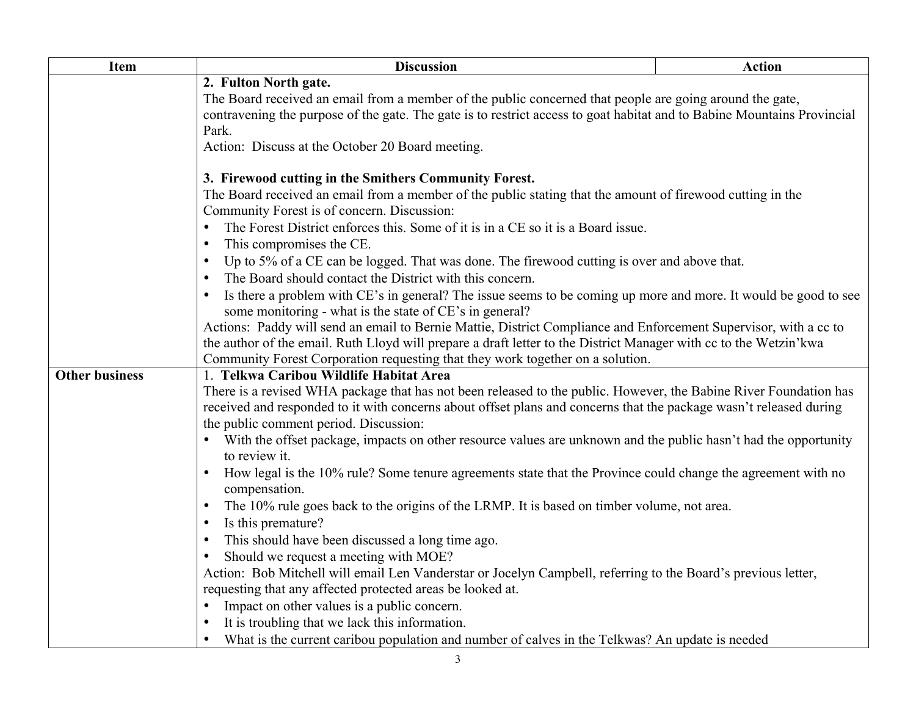| <b>Discussion</b>                                                                                                                                                                                                                                                                    | <b>Action</b>                                                                                                                                                                                                                                                                                                                                                                                                                                                                                                                                                                                                                                                                                                                                                                                                                                                                                                                                                                                                                                                                     |  |                                                                                                                                  |                                                                                                                                                                                                                                                                                                                                                                                    |  |  |  |                                                                                                                   |  |
|--------------------------------------------------------------------------------------------------------------------------------------------------------------------------------------------------------------------------------------------------------------------------------------|-----------------------------------------------------------------------------------------------------------------------------------------------------------------------------------------------------------------------------------------------------------------------------------------------------------------------------------------------------------------------------------------------------------------------------------------------------------------------------------------------------------------------------------------------------------------------------------------------------------------------------------------------------------------------------------------------------------------------------------------------------------------------------------------------------------------------------------------------------------------------------------------------------------------------------------------------------------------------------------------------------------------------------------------------------------------------------------|--|----------------------------------------------------------------------------------------------------------------------------------|------------------------------------------------------------------------------------------------------------------------------------------------------------------------------------------------------------------------------------------------------------------------------------------------------------------------------------------------------------------------------------|--|--|--|-------------------------------------------------------------------------------------------------------------------|--|
| 2. Fulton North gate.<br>The Board received an email from a member of the public concerned that people are going around the gate,                                                                                                                                                    |                                                                                                                                                                                                                                                                                                                                                                                                                                                                                                                                                                                                                                                                                                                                                                                                                                                                                                                                                                                                                                                                                   |  |                                                                                                                                  |                                                                                                                                                                                                                                                                                                                                                                                    |  |  |  |                                                                                                                   |  |
|                                                                                                                                                                                                                                                                                      |                                                                                                                                                                                                                                                                                                                                                                                                                                                                                                                                                                                                                                                                                                                                                                                                                                                                                                                                                                                                                                                                                   |  | contravening the purpose of the gate. The gate is to restrict access to goat habitat and to Babine Mountains Provincial<br>Park. |                                                                                                                                                                                                                                                                                                                                                                                    |  |  |  |                                                                                                                   |  |
| Action: Discuss at the October 20 Board meeting.                                                                                                                                                                                                                                     |                                                                                                                                                                                                                                                                                                                                                                                                                                                                                                                                                                                                                                                                                                                                                                                                                                                                                                                                                                                                                                                                                   |  |                                                                                                                                  |                                                                                                                                                                                                                                                                                                                                                                                    |  |  |  |                                                                                                                   |  |
|                                                                                                                                                                                                                                                                                      |                                                                                                                                                                                                                                                                                                                                                                                                                                                                                                                                                                                                                                                                                                                                                                                                                                                                                                                                                                                                                                                                                   |  |                                                                                                                                  |                                                                                                                                                                                                                                                                                                                                                                                    |  |  |  |                                                                                                                   |  |
|                                                                                                                                                                                                                                                                                      |                                                                                                                                                                                                                                                                                                                                                                                                                                                                                                                                                                                                                                                                                                                                                                                                                                                                                                                                                                                                                                                                                   |  |                                                                                                                                  |                                                                                                                                                                                                                                                                                                                                                                                    |  |  |  |                                                                                                                   |  |
| The Board received an email from a member of the public stating that the amount of firewood cutting in the                                                                                                                                                                           |                                                                                                                                                                                                                                                                                                                                                                                                                                                                                                                                                                                                                                                                                                                                                                                                                                                                                                                                                                                                                                                                                   |  |                                                                                                                                  |                                                                                                                                                                                                                                                                                                                                                                                    |  |  |  |                                                                                                                   |  |
| The Forest District enforces this. Some of it is in a CE so it is a Board issue.<br>This compromises the CE.<br>$\bullet$<br>Up to 5% of a CE can be logged. That was done. The firewood cutting is over and above that.<br>The Board should contact the District with this concern. |                                                                                                                                                                                                                                                                                                                                                                                                                                                                                                                                                                                                                                                                                                                                                                                                                                                                                                                                                                                                                                                                                   |  |                                                                                                                                  |                                                                                                                                                                                                                                                                                                                                                                                    |  |  |  |                                                                                                                   |  |
|                                                                                                                                                                                                                                                                                      |                                                                                                                                                                                                                                                                                                                                                                                                                                                                                                                                                                                                                                                                                                                                                                                                                                                                                                                                                                                                                                                                                   |  |                                                                                                                                  | Is there a problem with CE's in general? The issue seems to be coming up more and more. It would be good to see                                                                                                                                                                                                                                                                    |  |  |  |                                                                                                                   |  |
|                                                                                                                                                                                                                                                                                      |                                                                                                                                                                                                                                                                                                                                                                                                                                                                                                                                                                                                                                                                                                                                                                                                                                                                                                                                                                                                                                                                                   |  |                                                                                                                                  | some monitoring - what is the state of CE's in general?<br>Actions: Paddy will send an email to Bernie Mattie, District Compliance and Enforcement Supervisor, with a cc to<br>the author of the email. Ruth Lloyd will prepare a draft letter to the District Manager with cc to the Wetzin'kwa<br>Community Forest Corporation requesting that they work together on a solution. |  |  |  |                                                                                                                   |  |
|                                                                                                                                                                                                                                                                                      |                                                                                                                                                                                                                                                                                                                                                                                                                                                                                                                                                                                                                                                                                                                                                                                                                                                                                                                                                                                                                                                                                   |  |                                                                                                                                  |                                                                                                                                                                                                                                                                                                                                                                                    |  |  |  |                                                                                                                   |  |
|                                                                                                                                                                                                                                                                                      |                                                                                                                                                                                                                                                                                                                                                                                                                                                                                                                                                                                                                                                                                                                                                                                                                                                                                                                                                                                                                                                                                   |  |                                                                                                                                  |                                                                                                                                                                                                                                                                                                                                                                                    |  |  |  | There is a revised WHA package that has not been released to the public. However, the Babine River Foundation has |  |
|                                                                                                                                                                                                                                                                                      |                                                                                                                                                                                                                                                                                                                                                                                                                                                                                                                                                                                                                                                                                                                                                                                                                                                                                                                                                                                                                                                                                   |  |                                                                                                                                  |                                                                                                                                                                                                                                                                                                                                                                                    |  |  |  |                                                                                                                   |  |
|                                                                                                                                                                                                                                                                                      |                                                                                                                                                                                                                                                                                                                                                                                                                                                                                                                                                                                                                                                                                                                                                                                                                                                                                                                                                                                                                                                                                   |  |                                                                                                                                  |                                                                                                                                                                                                                                                                                                                                                                                    |  |  |  |                                                                                                                   |  |
| to review it.                                                                                                                                                                                                                                                                        |                                                                                                                                                                                                                                                                                                                                                                                                                                                                                                                                                                                                                                                                                                                                                                                                                                                                                                                                                                                                                                                                                   |  |                                                                                                                                  |                                                                                                                                                                                                                                                                                                                                                                                    |  |  |  |                                                                                                                   |  |
|                                                                                                                                                                                                                                                                                      |                                                                                                                                                                                                                                                                                                                                                                                                                                                                                                                                                                                                                                                                                                                                                                                                                                                                                                                                                                                                                                                                                   |  |                                                                                                                                  |                                                                                                                                                                                                                                                                                                                                                                                    |  |  |  |                                                                                                                   |  |
|                                                                                                                                                                                                                                                                                      |                                                                                                                                                                                                                                                                                                                                                                                                                                                                                                                                                                                                                                                                                                                                                                                                                                                                                                                                                                                                                                                                                   |  |                                                                                                                                  |                                                                                                                                                                                                                                                                                                                                                                                    |  |  |  |                                                                                                                   |  |
|                                                                                                                                                                                                                                                                                      |                                                                                                                                                                                                                                                                                                                                                                                                                                                                                                                                                                                                                                                                                                                                                                                                                                                                                                                                                                                                                                                                                   |  |                                                                                                                                  |                                                                                                                                                                                                                                                                                                                                                                                    |  |  |  |                                                                                                                   |  |
|                                                                                                                                                                                                                                                                                      |                                                                                                                                                                                                                                                                                                                                                                                                                                                                                                                                                                                                                                                                                                                                                                                                                                                                                                                                                                                                                                                                                   |  |                                                                                                                                  |                                                                                                                                                                                                                                                                                                                                                                                    |  |  |  |                                                                                                                   |  |
|                                                                                                                                                                                                                                                                                      |                                                                                                                                                                                                                                                                                                                                                                                                                                                                                                                                                                                                                                                                                                                                                                                                                                                                                                                                                                                                                                                                                   |  |                                                                                                                                  |                                                                                                                                                                                                                                                                                                                                                                                    |  |  |  |                                                                                                                   |  |
|                                                                                                                                                                                                                                                                                      |                                                                                                                                                                                                                                                                                                                                                                                                                                                                                                                                                                                                                                                                                                                                                                                                                                                                                                                                                                                                                                                                                   |  |                                                                                                                                  |                                                                                                                                                                                                                                                                                                                                                                                    |  |  |  |                                                                                                                   |  |
|                                                                                                                                                                                                                                                                                      |                                                                                                                                                                                                                                                                                                                                                                                                                                                                                                                                                                                                                                                                                                                                                                                                                                                                                                                                                                                                                                                                                   |  |                                                                                                                                  |                                                                                                                                                                                                                                                                                                                                                                                    |  |  |  |                                                                                                                   |  |
|                                                                                                                                                                                                                                                                                      |                                                                                                                                                                                                                                                                                                                                                                                                                                                                                                                                                                                                                                                                                                                                                                                                                                                                                                                                                                                                                                                                                   |  |                                                                                                                                  |                                                                                                                                                                                                                                                                                                                                                                                    |  |  |  |                                                                                                                   |  |
|                                                                                                                                                                                                                                                                                      |                                                                                                                                                                                                                                                                                                                                                                                                                                                                                                                                                                                                                                                                                                                                                                                                                                                                                                                                                                                                                                                                                   |  |                                                                                                                                  |                                                                                                                                                                                                                                                                                                                                                                                    |  |  |  |                                                                                                                   |  |
| What is the current caribou population and number of calves in the Telkwas? An update is needed                                                                                                                                                                                      |                                                                                                                                                                                                                                                                                                                                                                                                                                                                                                                                                                                                                                                                                                                                                                                                                                                                                                                                                                                                                                                                                   |  |                                                                                                                                  |                                                                                                                                                                                                                                                                                                                                                                                    |  |  |  |                                                                                                                   |  |
|                                                                                                                                                                                                                                                                                      | 3. Firewood cutting in the Smithers Community Forest.<br>Community Forest is of concern. Discussion:<br>1. Telkwa Caribou Wildlife Habitat Area<br>received and responded to it with concerns about offset plans and concerns that the package wasn't released during<br>the public comment period. Discussion:<br>With the offset package, impacts on other resource values are unknown and the public hasn't had the opportunity<br>How legal is the 10% rule? Some tenure agreements state that the Province could change the agreement with no<br>compensation.<br>The 10% rule goes back to the origins of the LRMP. It is based on timber volume, not area.<br>Is this premature?<br>$\bullet$<br>This should have been discussed a long time ago.<br>Should we request a meeting with MOE?<br>Action: Bob Mitchell will email Len Vanderstar or Jocelyn Campbell, referring to the Board's previous letter,<br>requesting that any affected protected areas be looked at.<br>Impact on other values is a public concern.<br>It is troubling that we lack this information. |  |                                                                                                                                  |                                                                                                                                                                                                                                                                                                                                                                                    |  |  |  |                                                                                                                   |  |